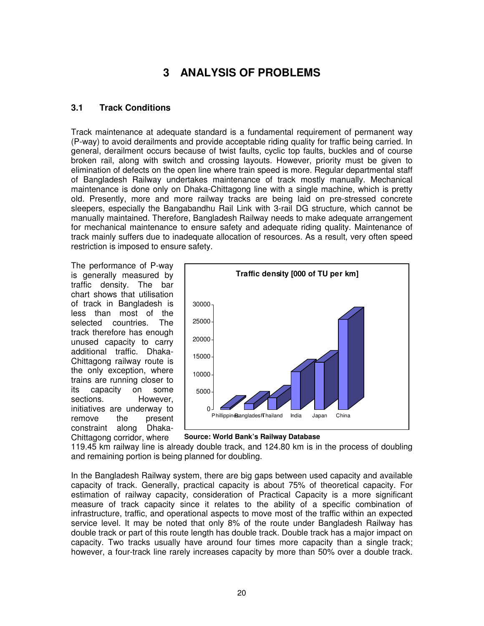# **3 ANALYSIS OF PROBLEMS**

## **3.1 Track Conditions**

Track maintenance at adequate standard is a fundamental requirement of permanent way (P-way) to avoid derailments and provide acceptable riding quality for traffic being carried. In general, derailment occurs because of twist faults, cyclic top faults, buckles and of course broken rail, along with switch and crossing layouts. However, priority must be given to elimination of defects on the open line where train speed is more. Regular departmental staff of Bangladesh Railway undertakes maintenance of track mostly manually. Mechanical maintenance is done only on Dhaka-Chittagong line with a single machine, which is pretty old. Presently, more and more railway tracks are being laid on pre-stressed concrete sleepers, especially the Bangabandhu Rail Link with 3-rail DG structure, which cannot be manually maintained. Therefore, Bangladesh Railway needs to make adequate arrangement for mechanical maintenance to ensure safety and adequate riding quality. Maintenance of track mainly suffers due to inadequate allocation of resources. As a result, very often speed restriction is imposed to ensure safety.

The performance of P-way is generally measured by traffic density. The bar chart shows that utilisation of track in Bangladesh is less than most of the selected countries. The track therefore has enough unused capacity to carry additional traffic. Dhaka-Chittagong railway route is the only exception, where trains are running closer to its capacity on some sections. However, initiatives are underway to remove the present constraint along Dhaka-Chittagong corridor, where



**Source: World Bank's Railway Database**

119.45 km railway line is already double track, and 124.80 km is in the process of doubling and remaining portion is being planned for doubling.

In the Bangladesh Railway system, there are big gaps between used capacity and available capacity of track. Generally, practical capacity is about 75% of theoretical capacity. For estimation of railway capacity, consideration of Practical Capacity is a more significant measure of track capacity since it relates to the ability of a specific combination of infrastructure, traffic, and operational aspects to move most of the traffic within an expected service level. It may be noted that only 8% of the route under Bangladesh Railway has double track or part of this route length has double track. Double track has a major impact on capacity. Two tracks usually have around four times more capacity than a single track; however, a four-track line rarely increases capacity by more than 50% over a double track.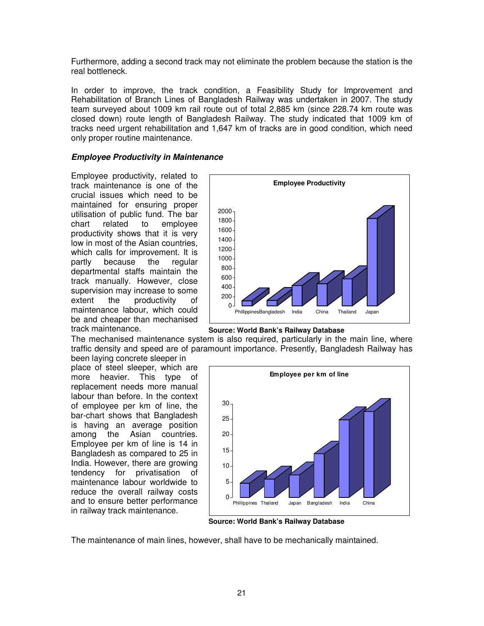Furthermore, adding a second track may not eliminate the problem because the station is the real bottleneck.

In order to improve, the track condition, a Feasibility Study for Improvement and Rehabilitation of Branch Lines of Bangladesh Railway was undertaken in 2007. The study team surveyed about 1009 km rail route out of total 2,885 km (since 228.74 km route was closed down) route length of Bangladesh Railway. The study indicated that 1009 km of tracks need urgent rehabilitation and 1,647 km of tracks are in good condition, which need only proper routine maintenance.

#### **Employee Productivity in Maintenance**

Employee productivity, related to track maintenance is one of the crucial issues which need to be maintained for ensuring proper utilisation of public fund. The bar<br>chart crelated to emplovee chart related to employee productivity shows that it is very low in most of the Asian countries, which calls for improvement. It is partly because the regular departmental staffs maintain the track manually. However, close supervision may increase to some extent the productivity of maintenance labour, which could be and cheaper than mechanised track maintenance.



**Source: World Bank's Railway Database**

The mechanised maintenance system is also required, particularly in the main line, where traffic density and speed are of paramount importance. Presently, Bangladesh Railway has

been laying concrete sleeper in place of steel sleeper, which are more heavier. This type of replacement needs more manual labour than before. In the context of employee per km of line, the bar-chart shows that Bangladesh is having an average position among the Asian countries. Employee per km of line is 14 in Bangladesh as compared to 25 in India. However, there are growing tendency for privatisation of maintenance labour worldwide to reduce the overall railway costs and to ensure better performance in railway track maintenance.



**Source: World Bank's Railway Database**

The maintenance of main lines, however, shall have to be mechanically maintained.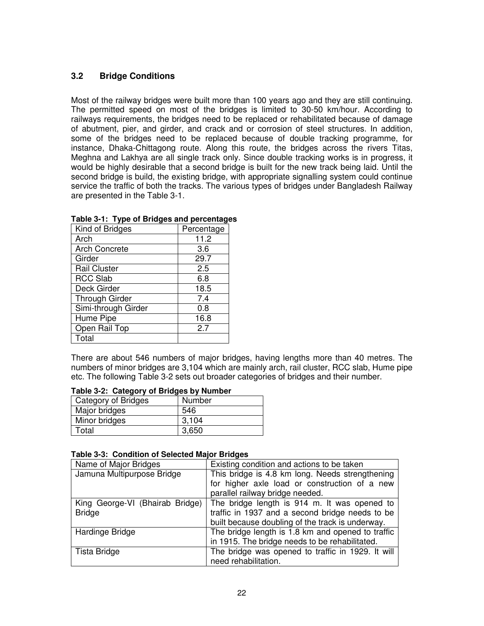## **3.2 Bridge Conditions**

Most of the railway bridges were built more than 100 years ago and they are still continuing. The permitted speed on most of the bridges is limited to 30-50 km/hour. According to railways requirements, the bridges need to be replaced or rehabilitated because of damage of abutment, pier, and girder, and crack and or corrosion of steel structures. In addition, some of the bridges need to be replaced because of double tracking programme, for instance, Dhaka-Chittagong route. Along this route, the bridges across the rivers Titas, Meghna and Lakhya are all single track only. Since double tracking works is in progress, it would be highly desirable that a second bridge is built for the new track being laid. Until the second bridge is build, the existing bridge, with appropriate signalling system could continue service the traffic of both the tracks. The various types of bridges under Bangladesh Railway are presented in the Table 3-1.

| rable 5-1. Type of Bridges and percentage |            |  |  |  |  |
|-------------------------------------------|------------|--|--|--|--|
| Kind of Bridges                           | Percentage |  |  |  |  |
| Arch                                      | 11.2       |  |  |  |  |
| <b>Arch Concrete</b>                      | 3.6        |  |  |  |  |
| Girder                                    | 29.7       |  |  |  |  |
| <b>Rail Cluster</b>                       | 2.5        |  |  |  |  |
| <b>RCC Slab</b>                           | 6.8        |  |  |  |  |
| Deck Girder                               | 18.5       |  |  |  |  |
| <b>Through Girder</b>                     | 7.4        |  |  |  |  |
| Simi-through Girder                       | 0.8        |  |  |  |  |
| Hume Pipe                                 | 16.8       |  |  |  |  |
| Open Rail Top                             | 2.7        |  |  |  |  |
| Total                                     |            |  |  |  |  |

|  |  | Table 3-1: Type of Bridges and percentages |  |
|--|--|--------------------------------------------|--|
|--|--|--------------------------------------------|--|

There are about 546 numbers of major bridges, having lengths more than 40 metres. The numbers of minor bridges are 3,104 which are mainly arch, rail cluster, RCC slab, Hume pipe etc. The following Table 3-2 sets out broader categories of bridges and their number.

| Table 3-2: Category of Bridges by Number |  |
|------------------------------------------|--|
|                                          |  |

| Number |
|--------|
| 546    |
| 3,104  |
| 3,650  |
|        |

#### **Table 3-3: Condition of Selected Major Bridges**

| Name of Major Bridges           | Existing condition and actions to be taken        |
|---------------------------------|---------------------------------------------------|
| Jamuna Multipurpose Bridge      | This bridge is 4.8 km long. Needs strengthening   |
|                                 | for higher axle load or construction of a new     |
|                                 | parallel railway bridge needed.                   |
| King George-VI (Bhairab Bridge) | The bridge length is 914 m. It was opened to      |
| <b>Bridge</b>                   | traffic in 1937 and a second bridge needs to be   |
|                                 | built because doubling of the track is underway.  |
| Hardinge Bridge                 | The bridge length is 1.8 km and opened to traffic |
|                                 | in 1915. The bridge needs to be rehabilitated.    |
| Tista Bridge                    | The bridge was opened to traffic in 1929. It will |
|                                 | need rehabilitation.                              |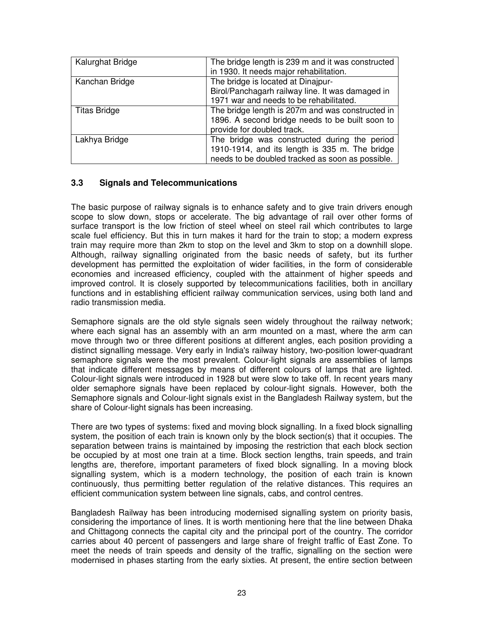| Kalurghat Bridge    | The bridge length is 239 m and it was constructed<br>in 1930. It needs major rehabilitation.                                                       |
|---------------------|----------------------------------------------------------------------------------------------------------------------------------------------------|
| Kanchan Bridge      | The bridge is located at Dinajpur-<br>Birol/Panchagarh railway line. It was damaged in<br>1971 war and needs to be rehabilitated.                  |
| <b>Titas Bridge</b> | The bridge length is 207m and was constructed in<br>1896. A second bridge needs to be built soon to<br>provide for doubled track.                  |
| Lakhya Bridge       | The bridge was constructed during the period<br>1910-1914, and its length is 335 m. The bridge<br>needs to be doubled tracked as soon as possible. |

### **3.3 Signals and Telecommunications**

The basic purpose of railway signals is to enhance safety and to give train drivers enough scope to slow down, stops or accelerate. The big advantage of rail over other forms of surface transport is the low friction of steel wheel on steel rail which contributes to large scale fuel efficiency. But this in turn makes it hard for the train to stop; a modern express train may require more than 2km to stop on the level and 3km to stop on a downhill slope. Although, railway signalling originated from the basic needs of safety, but its further development has permitted the exploitation of wider facilities, in the form of considerable economies and increased efficiency, coupled with the attainment of higher speeds and improved control. It is closely supported by telecommunications facilities, both in ancillary functions and in establishing efficient railway communication services, using both land and radio transmission media.

Semaphore signals are the old style signals seen widely throughout the railway network; where each signal has an assembly with an arm mounted on a mast, where the arm can move through two or three different positions at different angles, each position providing a distinct signalling message. Very early in India's railway history, two-position lower-quadrant semaphore signals were the most prevalent. Colour-light signals are assemblies of lamps that indicate different messages by means of different colours of lamps that are lighted. Colour-light signals were introduced in 1928 but were slow to take off. In recent years many older semaphore signals have been replaced by colour-light signals. However, both the Semaphore signals and Colour-light signals exist in the Bangladesh Railway system, but the share of Colour-light signals has been increasing.

There are two types of systems: fixed and moving block signalling. In a fixed block signalling system, the position of each train is known only by the block section(s) that it occupies. The separation between trains is maintained by imposing the restriction that each block section be occupied by at most one train at a time. Block section lengths, train speeds, and train lengths are, therefore, important parameters of fixed block signalling. In a moving block signalling system, which is a modern technology, the position of each train is known continuously, thus permitting better regulation of the relative distances. This requires an efficient communication system between line signals, cabs, and control centres.

Bangladesh Railway has been introducing modernised signalling system on priority basis, considering the importance of lines. It is worth mentioning here that the line between Dhaka and Chittagong connects the capital city and the principal port of the country. The corridor carries about 40 percent of passengers and large share of freight traffic of East Zone. To meet the needs of train speeds and density of the traffic, signalling on the section were modernised in phases starting from the early sixties. At present, the entire section between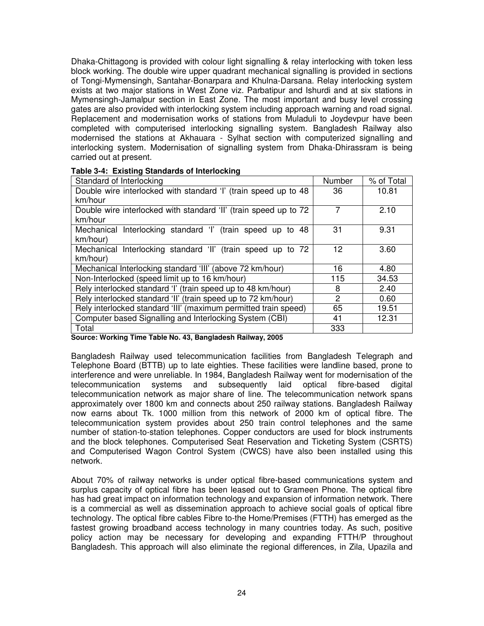Dhaka-Chittagong is provided with colour light signalling & relay interlocking with token less block working. The double wire upper quadrant mechanical signalling is provided in sections of Tongi-Mymensingh, Santahar-Bonarpara and Khulna-Darsana. Relay interlocking system exists at two major stations in West Zone viz. Parbatipur and Ishurdi and at six stations in Mymensingh-Jamalpur section in East Zone. The most important and busy level crossing gates are also provided with interlocking system including approach warning and road signal. Replacement and modernisation works of stations from Muladuli to Joydevpur have been completed with computerised interlocking signalling system. Bangladesh Railway also modernised the stations at Akhauara - Sylhat section with computerized signalling and interlocking system. Modernisation of signalling system from Dhaka-Dhirassram is being carried out at present.

| Standard of Interlocking                                         | Number       | % of Total |
|------------------------------------------------------------------|--------------|------------|
| Double wire interlocked with standard 'I' (train speed up to 48  | 36           | 10.81      |
| km/hour                                                          |              |            |
| Double wire interlocked with standard 'II' (train speed up to 72 | 7            | 2.10       |
| km/hour                                                          |              |            |
| Mechanical Interlocking standard 'I' (train speed up to 48       | 31           | 9.31       |
| km/hour)                                                         |              |            |
| Mechanical Interlocking standard 'II' (train speed up to 72      | 12           | 3.60       |
| km/hour)                                                         |              |            |
| Mechanical Interlocking standard 'III' (above 72 km/hour)        | 16           | 4.80       |
| Non-Interlocked (speed limit up to 16 km/hour)                   | 115          | 34.53      |
| Rely interlocked standard 'I' (train speed up to 48 km/hour)     | 8            | 2.40       |
| Rely interlocked standard 'II' (train speed up to 72 km/hour)    | $\mathbf{2}$ | 0.60       |
| Rely interlocked standard 'III' (maximum permitted train speed)  | 65           | 19.51      |
| Computer based Signalling and Interlocking System (CBI)          | 41           | 12.31      |
| Total                                                            | 333          |            |

#### **Table 3-4: Existing Standards of Interlocking**

**Source: Working Time Table No. 43, Bangladesh Railway, 2005** 

Bangladesh Railway used telecommunication facilities from Bangladesh Telegraph and Telephone Board (BTTB) up to late eighties. These facilities were landline based, prone to interference and were unreliable. In 1984, Bangladesh Railway went for modernisation of the telecommunication systems and subsequently laid optical fibre-based digital telecommunication network as major share of line. The telecommunication network spans approximately over 1800 km and connects about 250 railway stations. Bangladesh Railway now earns about Tk. 1000 million from this network of 2000 km of optical fibre. The telecommunication system provides about 250 train control telephones and the same number of station-to-station telephones. Copper conductors are used for block instruments and the block telephones. Computerised Seat Reservation and Ticketing System (CSRTS) and Computerised Wagon Control System (CWCS) have also been installed using this network.

About 70% of railway networks is under optical fibre-based communications system and surplus capacity of optical fibre has been leased out to Grameen Phone. The optical fibre has had great impact on information technology and expansion of information network. There is a commercial as well as dissemination approach to achieve social goals of optical fibre technology. The optical fibre cables Fibre to-the Home/Premises (FTTH) has emerged as the fastest growing broadband access technology in many countries today. As such, positive policy action may be necessary for developing and expanding FTTH/P throughout Bangladesh. This approach will also eliminate the regional differences, in Zila, Upazila and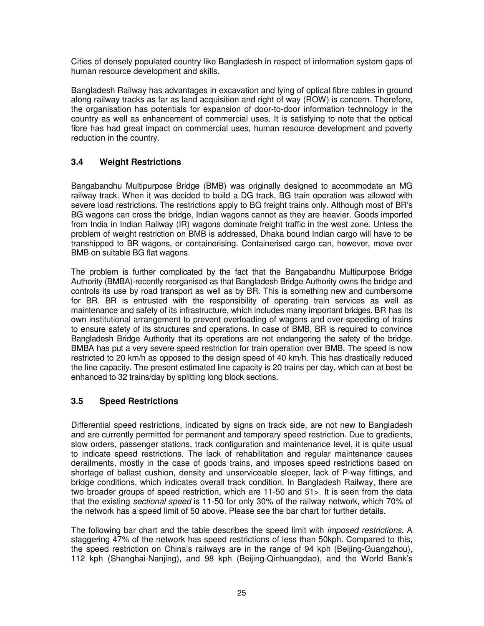Cities of densely populated country like Bangladesh in respect of information system gaps of human resource development and skills.

Bangladesh Railway has advantages in excavation and lying of optical fibre cables in ground along railway tracks as far as land acquisition and right of way (ROW) is concern. Therefore, the organisation has potentials for expansion of door-to-door information technology in the country as well as enhancement of commercial uses. It is satisfying to note that the optical fibre has had great impact on commercial uses, human resource development and poverty reduction in the country.

## **3.4 Weight Restrictions**

Bangabandhu Multipurpose Bridge (BMB) was originally designed to accommodate an MG railway track. When it was decided to build a DG track, BG train operation was allowed with severe load restrictions. The restrictions apply to BG freight trains only. Although most of BR's BG wagons can cross the bridge, Indian wagons cannot as they are heavier. Goods imported from India in Indian Railway (IR) wagons dominate freight traffic in the west zone. Unless the problem of weight restriction on BMB is addressed, Dhaka bound Indian cargo will have to be transhipped to BR wagons, or containerising. Containerised cargo can, however, move over BMB on suitable BG flat wagons.

The problem is further complicated by the fact that the Bangabandhu Multipurpose Bridge Authority (BMBA)-recently reorganised as that Bangladesh Bridge Authority owns the bridge and controls its use by road transport as well as by BR. This is something new and cumbersome for BR. BR is entrusted with the responsibility of operating train services as well as maintenance and safety of its infrastructure, which includes many important bridges. BR has its own institutional arrangement to prevent overloading of wagons and over-speeding of trains to ensure safety of its structures and operations. In case of BMB, BR is required to convince Bangladesh Bridge Authority that its operations are not endangering the safety of the bridge. BMBA has put a very severe speed restriction for train operation over BMB. The speed is now restricted to 20 km/h as opposed to the design speed of 40 km/h. This has drastically reduced the line capacity. The present estimated line capacity is 20 trains per day, which can at best be enhanced to 32 trains/day by splitting long block sections.

## **3.5 Speed Restrictions**

Differential speed restrictions, indicated by signs on track side, are not new to Bangladesh and are currently permitted for permanent and temporary speed restriction. Due to gradients, slow orders, passenger stations, track configuration and maintenance level, it is quite usual to indicate speed restrictions. The lack of rehabilitation and regular maintenance causes derailments, mostly in the case of goods trains, and imposes speed restrictions based on shortage of ballast cushion, density and unserviceable sleeper, lack of P-way fittings, and bridge conditions, which indicates overall track condition. In Bangladesh Railway, there are two broader groups of speed restriction, which are 11-50 and 51>. It is seen from the data that the existing sectional speed is 11-50 for only 30% of the railway network, which 70% of the network has a speed limit of 50 above. Please see the bar chart for further details.

The following bar chart and the table describes the speed limit with *imposed restrictions*. A staggering 47% of the network has speed restrictions of less than 50kph. Compared to this, the speed restriction on China's railways are in the range of 94 kph (Beijing-Guangzhou), 112 kph (Shanghai-Nanjing), and 98 kph (Beijing-Qinhuangdao), and the World Bank's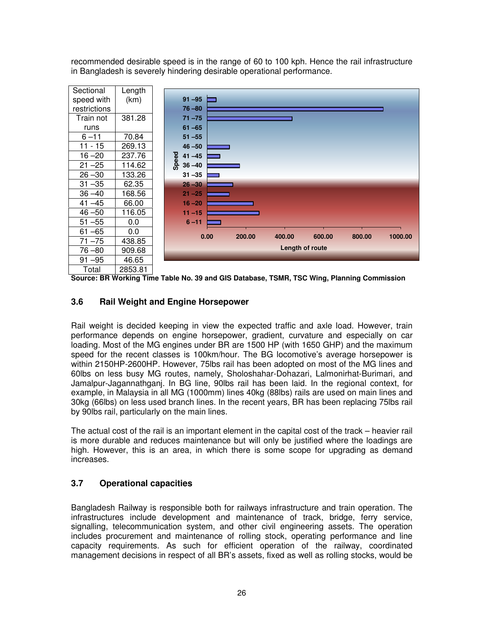recommended desirable speed is in the range of 60 to 100 kph. Hence the rail infrastructure in Bangladesh is severely hindering desirable operational performance.



**Source: BR Working Time Table No. 39 and GIS Database, TSMR, TSC Wing, Planning Commission**

## **3.6 Rail Weight and Engine Horsepower**

Rail weight is decided keeping in view the expected traffic and axle load. However, train performance depends on engine horsepower, gradient, curvature and especially on car loading. Most of the MG engines under BR are 1500 HP (with 1650 GHP) and the maximum speed for the recent classes is 100km/hour. The BG locomotive's average horsepower is within 2150HP-2600HP. However, 75lbs rail has been adopted on most of the MG lines and 60lbs on less busy MG routes, namely, Sholoshahar-Dohazari, Lalmonirhat-Burimari, and Jamalpur-Jagannathganj. In BG line, 90lbs rail has been laid. In the regional context, for example, in Malaysia in all MG (1000mm) lines 40kg (88lbs) rails are used on main lines and 30kg (66lbs) on less used branch lines. In the recent years, BR has been replacing 75lbs rail by 90lbs rail, particularly on the main lines.

The actual cost of the rail is an important element in the capital cost of the track – heavier rail is more durable and reduces maintenance but will only be justified where the loadings are high. However, this is an area, in which there is some scope for upgrading as demand increases.

## **3.7 Operational capacities**

Bangladesh Railway is responsible both for railways infrastructure and train operation. The infrastructures include development and maintenance of track, bridge, ferry service, signalling, telecommunication system, and other civil engineering assets. The operation includes procurement and maintenance of rolling stock, operating performance and line capacity requirements. As such for efficient operation of the railway, coordinated management decisions in respect of all BR's assets, fixed as well as rolling stocks, would be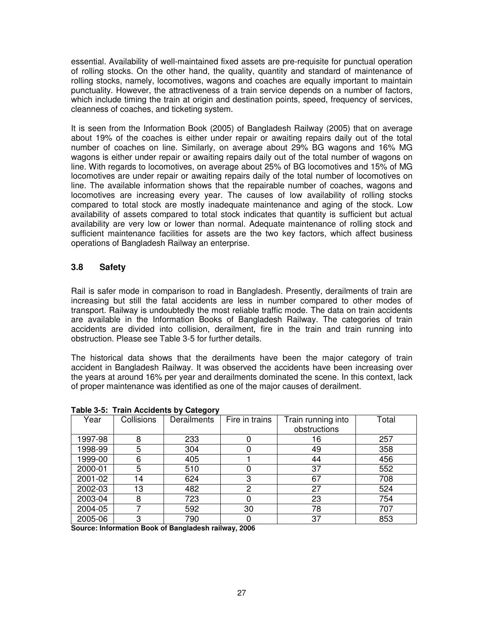essential. Availability of well-maintained fixed assets are pre-requisite for punctual operation of rolling stocks. On the other hand, the quality, quantity and standard of maintenance of rolling stocks, namely, locomotives, wagons and coaches are equally important to maintain punctuality. However, the attractiveness of a train service depends on a number of factors, which include timing the train at origin and destination points, speed, frequency of services, cleanness of coaches, and ticketing system.

It is seen from the Information Book (2005) of Bangladesh Railway (2005) that on average about 19% of the coaches is either under repair or awaiting repairs daily out of the total number of coaches on line. Similarly, on average about 29% BG wagons and 16% MG wagons is either under repair or awaiting repairs daily out of the total number of wagons on line. With regards to locomotives, on average about 25% of BG locomotives and 15% of MG locomotives are under repair or awaiting repairs daily of the total number of locomotives on line. The available information shows that the repairable number of coaches, wagons and locomotives are increasing every year. The causes of low availability of rolling stocks compared to total stock are mostly inadequate maintenance and aging of the stock. Low availability of assets compared to total stock indicates that quantity is sufficient but actual availability are very low or lower than normal. Adequate maintenance of rolling stock and sufficient maintenance facilities for assets are the two key factors, which affect business operations of Bangladesh Railway an enterprise.

## **3.8 Safety**

Rail is safer mode in comparison to road in Bangladesh. Presently, derailments of train are increasing but still the fatal accidents are less in number compared to other modes of transport. Railway is undoubtedly the most reliable traffic mode. The data on train accidents are available in the Information Books of Bangladesh Railway. The categories of train accidents are divided into collision, derailment, fire in the train and train running into obstruction. Please see Table 3-5 for further details.

The historical data shows that the derailments have been the major category of train accident in Bangladesh Railway. It was observed the accidents have been increasing over the years at around 16% per year and derailments dominated the scene. In this context, lack of proper maintenance was identified as one of the major causes of derailment.

| .       |            | 1.41        |                |                    |       |
|---------|------------|-------------|----------------|--------------------|-------|
| Year    | Collisions | Derailments | Fire in trains | Train running into | Total |
|         |            |             |                | obstructions       |       |
| 1997-98 | 8          | 233         |                | 16                 | 257   |
| 1998-99 | 5          | 304         |                | 49                 | 358   |
| 1999-00 | 6          | 405         |                | 44                 | 456   |
| 2000-01 | 5          | 510         |                | 37                 | 552   |
| 2001-02 | 14         | 624         | 3              | 67                 | 708   |
| 2002-03 | 13         | 482         | 2              | 27                 | 524   |
| 2003-04 | 8          | 723         |                | 23                 | 754   |
| 2004-05 | ⇁          | 592         | 30             | 78                 | 707   |
| 2005-06 | 3          | 790         |                | 37                 | 853   |

**Table 3-5: Train Accidents by Category** 

**Source: Information Book of Bangladesh railway, 2006**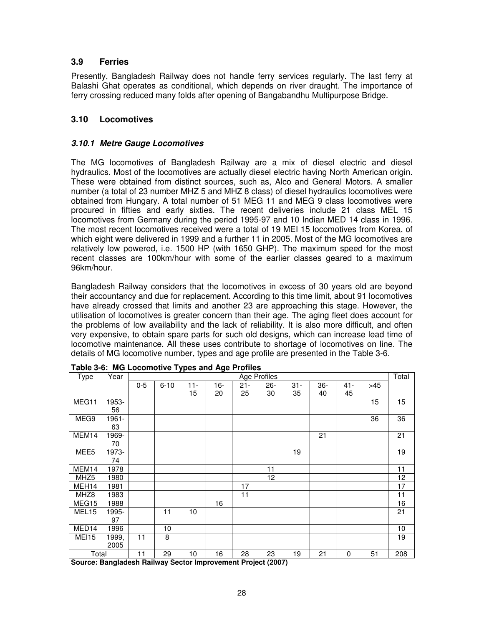## **3.9 Ferries**

Presently, Bangladesh Railway does not handle ferry services regularly. The last ferry at Balashi Ghat operates as conditional, which depends on river draught. The importance of ferry crossing reduced many folds after opening of Bangabandhu Multipurpose Bridge.

### **3.10 Locomotives**

#### **3.10.1 Metre Gauge Locomotives**

The MG locomotives of Bangladesh Railway are a mix of diesel electric and diesel hydraulics. Most of the locomotives are actually diesel electric having North American origin. These were obtained from distinct sources, such as, Alco and General Motors. A smaller number (a total of 23 number MHZ 5 and MHZ 8 class) of diesel hydraulics locomotives were obtained from Hungary. A total number of 51 MEG 11 and MEG 9 class locomotives were procured in fifties and early sixties. The recent deliveries include 21 class MEL 15 locomotives from Germany during the period 1995-97 and 10 Indian MED 14 class in 1996. The most recent locomotives received were a total of 19 MEI 15 locomotives from Korea, of which eight were delivered in 1999 and a further 11 in 2005. Most of the MG locomotives are relatively low powered, i.e. 1500 HP (with 1650 GHP). The maximum speed for the most recent classes are 100km/hour with some of the earlier classes geared to a maximum 96km/hour.

Bangladesh Railway considers that the locomotives in excess of 30 years old are beyond their accountancy and due for replacement. According to this time limit, about 91 locomotives have already crossed that limits and another 23 are approaching this stage. However, the utilisation of locomotives is greater concern than their age. The aging fleet does account for the problems of low availability and the lack of reliability. It is also more difficult, and often very expensive, to obtain spare parts for such old designs, which can increase lead time of locomotive maintenance. All these uses contribute to shortage of locomotives on line. The details of MG locomotive number, types and age profile are presented in the Table 3-6.

| Type              | Year  |           |          |        |     |        | <b>Age Profiles</b> |        |        |        |     | Total |
|-------------------|-------|-----------|----------|--------|-----|--------|---------------------|--------|--------|--------|-----|-------|
|                   |       | $0 - 5$   | $6 - 10$ | $11 -$ | 16- | $21 -$ | $26 -$              | $31 -$ | $36 -$ | $41 -$ | >45 |       |
|                   |       |           |          | 15     | 20  | 25     | 30                  | 35     | 40     | 45     |     |       |
| MEG11             | 1953- |           |          |        |     |        |                     |        |        |        | 15  | 15    |
|                   | 56    |           |          |        |     |        |                     |        |        |        |     |       |
| MEG9              | 1961- |           |          |        |     |        |                     |        |        |        | 36  | 36    |
|                   | 63    |           |          |        |     |        |                     |        |        |        |     |       |
| MEM14             | 1969- |           |          |        |     |        |                     |        | 21     |        |     | 21    |
|                   | 70    |           |          |        |     |        |                     |        |        |        |     |       |
| MEE5              | 1973- |           |          |        |     |        |                     | 19     |        |        |     | 19    |
|                   | 74    |           |          |        |     |        |                     |        |        |        |     |       |
| MEM14             | 1978  |           |          |        |     |        | 11                  |        |        |        |     | 11    |
| MHZ <sub>5</sub>  | 1980  |           |          |        |     |        | 12                  |        |        |        |     | 12    |
| MEH14             | 1981  |           |          |        |     | 17     |                     |        |        |        |     | 17    |
| MHZ8              | 1983  |           |          |        |     | 11     |                     |        |        |        |     | 11    |
| MEG15             | 1988  |           |          |        | 16  |        |                     |        |        |        |     | 16    |
| MEL <sub>15</sub> | 1995- |           | 11       | 10     |     |        |                     |        |        |        |     | 21    |
|                   | 97    |           |          |        |     |        |                     |        |        |        |     |       |
| MED14             | 1996  |           | 10       |        |     |        |                     |        |        |        |     | 10    |
| MEI15             | 1999, | 11        | 8        |        |     |        |                     |        |        |        |     | 19    |
|                   | 2005  |           |          |        |     |        |                     |        |        |        |     |       |
| Total             | . .   | 11<br>. – | 29       | 10     | 16  | 28     | 23                  | 19     | 21     | 0      | 51  | 208   |

**Table 3-6: MG Locomotive Types and Age Profiles** 

**Source: Bangladesh Railway Sector Improvement Project (2007)**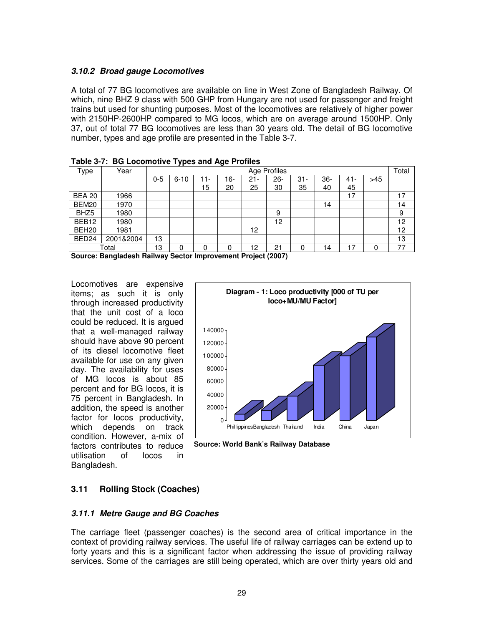#### **3.10.2 Broad gauge Locomotives**

A total of 77 BG locomotives are available on line in West Zone of Bangladesh Railway. Of which, nine BHZ 9 class with 500 GHP from Hungary are not used for passenger and freight trains but used for shunting purposes. Most of the locomotives are relatively of higher power with 2150HP-2600HP compared to MG locos, which are on average around 1500HP. Only 37, out of total 77 BG locomotives are less than 30 years old. The detail of BG locomotive number, types and age profile are presented in the Table 3-7.

|                   | . as is the state second that is positive right formed |         |          |        |     |        |              |        |       |     |     |       |
|-------------------|--------------------------------------------------------|---------|----------|--------|-----|--------|--------------|--------|-------|-----|-----|-------|
| Type              | Year                                                   |         |          |        |     |        | Age Profiles |        |       |     |     | Total |
|                   |                                                        | $0 - 5$ | $6 - 10$ | $11 -$ | 16- | $21 -$ | $26 -$       | $31 -$ | $36-$ | 41- | >45 |       |
|                   |                                                        |         |          | 15     | 20  | 25     | 30           | 35     | 40    | 45  |     |       |
| <b>BEA 20</b>     | 1966                                                   |         |          |        |     |        |              |        |       | ا ا |     | 17    |
| BEM20             | 1970                                                   |         |          |        |     |        |              |        | 14    |     |     | 14    |
| BHZ <sub>5</sub>  | 1980                                                   |         |          |        |     |        | 9            |        |       |     |     | 9     |
| BEB <sub>12</sub> | 1980                                                   |         |          |        |     |        | 12           |        |       |     |     | 12    |
| BEH <sub>20</sub> | 1981                                                   |         |          |        |     | 12     |              |        |       |     |     | 12    |
| BED <sub>24</sub> | 2001&2004                                              | 13      |          |        |     |        |              |        |       |     |     | 13    |
|                   | Total                                                  | 13      | 0        | 0      | 0   | 12     | 21           | 0      | 14    | 17  | 0   | 77    |

**Table 3-7: BG Locomotive Types and Age Profiles** 

**Source: Bangladesh Railway Sector Improvement Project (2007)** 

Locomotives are expensive items; as such it is only through increased productivity that the unit cost of a loco could be reduced. It is argued that a well-managed railway should have above 90 percent of its diesel locomotive fleet available for use on any given day. The availability for uses of MG locos is about 85 percent and for BG locos, it is 75 percent in Bangladesh. In addition, the speed is another factor for locos productivity, which depends on track condition. However, a-mix of factors contributes to reduce utilisation of locos in Bangladesh.



 **Source: World Bank's Railway Database**

### **3.11 Rolling Stock (Coaches)**

### **3.11.1 Metre Gauge and BG Coaches**

The carriage fleet (passenger coaches) is the second area of critical importance in the context of providing railway services. The useful life of railway carriages can be extend up to forty years and this is a significant factor when addressing the issue of providing railway services. Some of the carriages are still being operated, which are over thirty years old and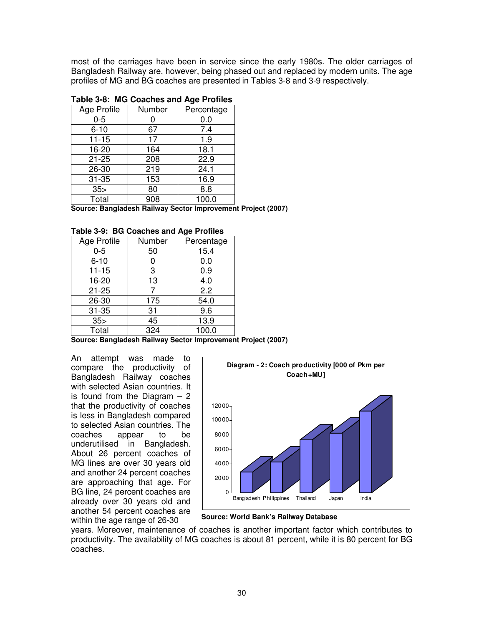most of the carriages have been in service since the early 1980s. The older carriages of Bangladesh Railway are, however, being phased out and replaced by modern units. The age profiles of MG and BG coaches are presented in Tables 3-8 and 3-9 respectively.

| Age Profile     | Number | Percentage |  |  |  |  |  |  |
|-----------------|--------|------------|--|--|--|--|--|--|
| $0 - 5$         |        | 0.0        |  |  |  |  |  |  |
| $6 - 10$        | 67     | 7.4        |  |  |  |  |  |  |
| $11 - 15$       | 17     | 1.9        |  |  |  |  |  |  |
| 16-20           | 164    | 18.1       |  |  |  |  |  |  |
| $21 - 25$       | 208    | 22.9       |  |  |  |  |  |  |
| 26-30           | 219    | 24.1       |  |  |  |  |  |  |
| $31 - 35$       | 153    | 16.9       |  |  |  |  |  |  |
| 35 <sub>5</sub> | 80     | 8.8        |  |  |  |  |  |  |
| Total           | 908    | 100.0      |  |  |  |  |  |  |

#### **Table 3-8: MG Coaches and Age Profiles**

**Source: Bangladesh Railway Sector Improvement Project (2007)** 

| Age Profile     | Number | Percentage |
|-----------------|--------|------------|
| $0 - 5$         | 50     | 15.4       |
| $6 - 10$        | 0      | 0.0        |
| $11 - 15$       | 3      | 0.9        |
| 16-20           | 13     | 4.0        |
| $21 - 25$       |        | 2.2        |
| 26-30           | 175    | 54.0       |
| $31 - 35$       | 31     | 9.6        |
| 35 <sub>5</sub> | 45     | 13.9       |
| Total           | 324    | 100.0      |

**Table 3-9: BG Coaches and Age Profiles** 

**Source: Bangladesh Railway Sector Improvement Project (2007)** 

An attempt was made to compare the productivity of Bangladesh Railway coaches with selected Asian countries. It is found from the Diagram  $-2$ that the productivity of coaches is less in Bangladesh compared to selected Asian countries. The coaches appear to be underutilised in Bangladesh. About 26 percent coaches of MG lines are over 30 years old and another 24 percent coaches are approaching that age. For BG line, 24 percent coaches are already over 30 years old and another 54 percent coaches are within the age range of 26-30



**Source: World Bank's Railway Database**

years. Moreover, maintenance of coaches is another important factor which contributes to productivity. The availability of MG coaches is about 81 percent, while it is 80 percent for BG coaches.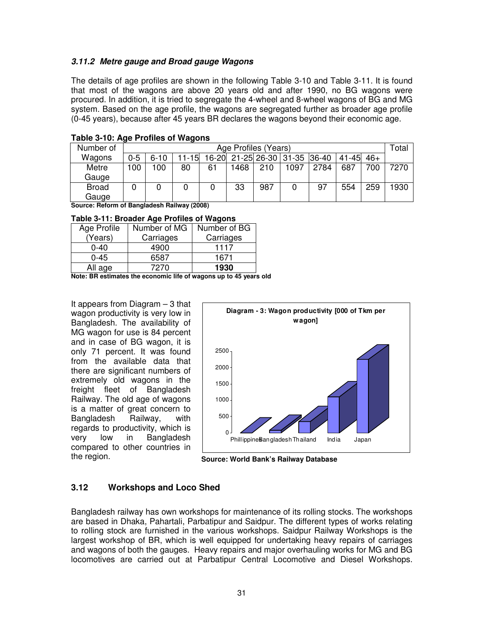#### **3.11.2 Metre gauge and Broad gauge Wagons**

The details of age profiles are shown in the following Table 3-10 and Table 3-11. It is found that most of the wagons are above 20 years old and after 1990, no BG wagons were procured. In addition, it is tried to segregate the 4-wheel and 8-wheel wagons of BG and MG system. Based on the age profile, the wagons are segregated further as broader age profile (0-45 years), because after 45 years BR declares the wagons beyond their economic age.

| Number of    | Age Profiles (Years) |          |       |    |      |     |                               |      | Total         |     |      |
|--------------|----------------------|----------|-------|----|------|-----|-------------------------------|------|---------------|-----|------|
| Wagons       | $0 - 5$              | $6 - 10$ | 11-15 |    |      |     | 16-20 21-25 26-30 31-35 36-40 |      | $41-45$ $46+$ |     |      |
| Metre        | 100                  | 100      | 80    | 61 | 1468 | 210 | 1097                          | 2784 | 687           | 700 | 7270 |
| Gauge        |                      |          |       |    |      |     |                               |      |               |     |      |
| <b>Broad</b> |                      |          |       |    | 33   | 987 |                               | 97   | 554           | 259 | 1930 |
| Gauge        |                      |          |       |    |      |     |                               |      |               |     |      |

**Table 3-10: Age Profiles of Wagons**

**Source: Reform of Bangladesh Railway (2008)**

| Table 3-11: Broader Age Profiles of Wagons |  |  |
|--------------------------------------------|--|--|
|--------------------------------------------|--|--|

| Age Profile | Number of MG | Number of BG |
|-------------|--------------|--------------|
| (Years)     | Carriages    | Carriages    |
| $0 - 40$    | 4900         | 1117         |
| $0 - 45$    | 6587         | 1671         |
| All age     | 7270         | 1930         |

**Note: BR estimates the economic life of wagons up to 45 years old** 

It appears from Diagram – 3 that wagon productivity is very low in Bangladesh. The availability of MG wagon for use is 84 percent and in case of BG wagon, it is only 71 percent. It was found from the available data that there are significant numbers of extremely old wagons in the freight fleet of Bangladesh Railway. The old age of wagons is a matter of great concern to Bangladesh Railway, with regards to productivity, which is very low in Bangladesh compared to other countries in the region.



**Source: World Bank's Railway Database**

## **3.12 Workshops and Loco Shed**

Bangladesh railway has own workshops for maintenance of its rolling stocks. The workshops are based in Dhaka, Pahartali, Parbatipur and Saidpur. The different types of works relating to rolling stock are furnished in the various workshops. Saidpur Railway Workshops is the largest workshop of BR, which is well equipped for undertaking heavy repairs of carriages and wagons of both the gauges. Heavy repairs and major overhauling works for MG and BG locomotives are carried out at Parbatipur Central Locomotive and Diesel Workshops.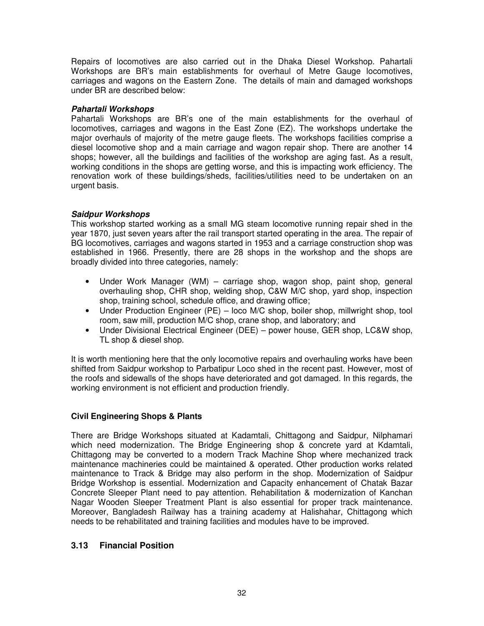Repairs of locomotives are also carried out in the Dhaka Diesel Workshop. Pahartali Workshops are BR's main establishments for overhaul of Metre Gauge locomotives, carriages and wagons on the Eastern Zone. The details of main and damaged workshops under BR are described below:

#### **Pahartali Workshops**

Pahartali Workshops are BR's one of the main establishments for the overhaul of locomotives, carriages and wagons in the East Zone (EZ). The workshops undertake the major overhauls of majority of the metre gauge fleets. The workshops facilities comprise a diesel locomotive shop and a main carriage and wagon repair shop. There are another 14 shops; however, all the buildings and facilities of the workshop are aging fast. As a result, working conditions in the shops are getting worse, and this is impacting work efficiency. The renovation work of these buildings/sheds, facilities/utilities need to be undertaken on an urgent basis.

#### **Saidpur Workshops**

This workshop started working as a small MG steam locomotive running repair shed in the year 1870, just seven years after the rail transport started operating in the area. The repair of BG locomotives, carriages and wagons started in 1953 and a carriage construction shop was established in 1966. Presently, there are 28 shops in the workshop and the shops are broadly divided into three categories, namely:

- Under Work Manager (WM) carriage shop, wagon shop, paint shop, general overhauling shop, CHR shop, welding shop, C&W M/C shop, yard shop, inspection shop, training school, schedule office, and drawing office;
- Under Production Engineer (PE) loco M/C shop, boiler shop, millwright shop, tool room, saw mill, production M/C shop, crane shop, and laboratory; and
- Under Divisional Electrical Engineer (DEE) power house, GER shop, LC&W shop, TL shop & diesel shop.

It is worth mentioning here that the only locomotive repairs and overhauling works have been shifted from Saidpur workshop to Parbatipur Loco shed in the recent past. However, most of the roofs and sidewalls of the shops have deteriorated and got damaged. In this regards, the working environment is not efficient and production friendly.

### **Civil Engineering Shops & Plants**

There are Bridge Workshops situated at Kadamtali, Chittagong and Saidpur, Nilphamari which need modernization. The Bridge Engineering shop & concrete yard at Kdamtali, Chittagong may be converted to a modern Track Machine Shop where mechanized track maintenance machineries could be maintained & operated. Other production works related maintenance to Track & Bridge may also perform in the shop. Modernization of Saidpur Bridge Workshop is essential. Modernization and Capacity enhancement of Chatak Bazar Concrete Sleeper Plant need to pay attention. Rehabilitation & modernization of Kanchan Nagar Wooden Sleeper Treatment Plant is also essential for proper track maintenance. Moreover, Bangladesh Railway has a training academy at Halishahar, Chittagong which needs to be rehabilitated and training facilities and modules have to be improved.

### **3.13 Financial Position**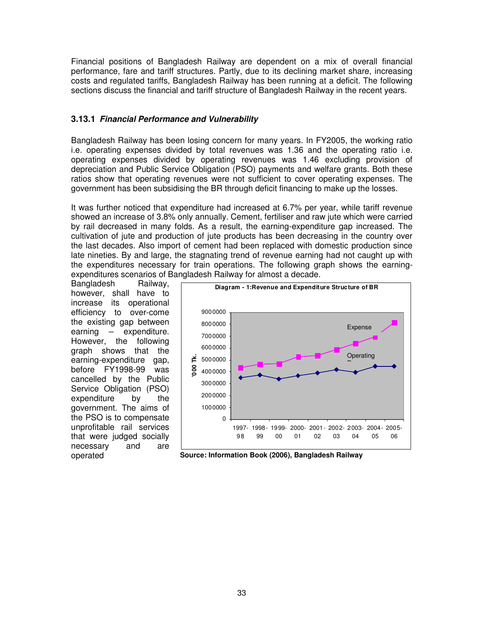Financial positions of Bangladesh Railway are dependent on a mix of overall financial performance, fare and tariff structures. Partly, due to its declining market share, increasing costs and regulated tariffs, Bangladesh Railway has been running at a deficit. The following sections discuss the financial and tariff structure of Bangladesh Railway in the recent years.

### **3.13.1 Financial Performance and Vulnerability**

Bangladesh Railway has been losing concern for many years. In FY2005, the working ratio i.e. operating expenses divided by total revenues was 1.36 and the operating ratio i.e. operating expenses divided by operating revenues was 1.46 excluding provision of depreciation and Public Service Obligation (PSO) payments and welfare grants. Both these ratios show that operating revenues were not sufficient to cover operating expenses. The government has been subsidising the BR through deficit financing to make up the losses.

It was further noticed that expenditure had increased at 6.7% per year, while tariff revenue showed an increase of 3.8% only annually. Cement, fertiliser and raw jute which were carried by rail decreased in many folds. As a result, the earning-expenditure gap increased. The cultivation of jute and production of jute products has been decreasing in the country over the last decades. Also import of cement had been replaced with domestic production since late nineties. By and large, the stagnating trend of revenue earning had not caught up with the expenditures necessary for train operations. The following graph shows the earningexpenditures scenarios of Bangladesh Railway for almost a decade.

Bangladesh Railway, however, shall have to increase its operational efficiency to over-come the existing gap between earning – expenditure. However, the following graph shows that the earning-expenditure gap, before FY1998-99 was cancelled by the Public Service Obligation (PSO) expenditure by the government. The aims of the PSO is to compensate unprofitable rail services that were judged socially necessary and are operated



**Source: Information Book (2006), Bangladesh Railway**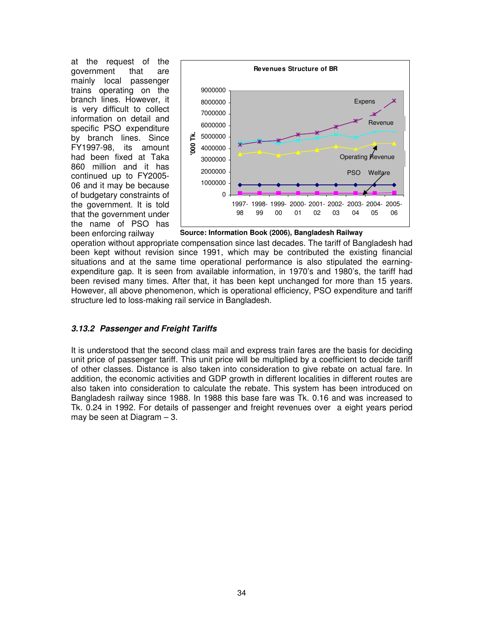at the request of the government that are mainly local passenger trains operating on the branch lines. However, it is very difficult to collect information on detail and specific PSO expenditure by branch lines. Since FY1997-98, its amount had been fixed at Taka 860 million and it has continued up to FY2005- 06 and it may be because of budgetary constraints of the government. It is told that the government under the name of PSO has been enforcing railway



**Source: Information Book (2006), Bangladesh Railway**

operation without appropriate compensation since last decades. The tariff of Bangladesh had been kept without revision since 1991, which may be contributed the existing financial situations and at the same time operational performance is also stipulated the earningexpenditure gap. It is seen from available information, in 1970's and 1980's, the tariff had been revised many times. After that, it has been kept unchanged for more than 15 years. However, all above phenomenon, which is operational efficiency, PSO expenditure and tariff structure led to loss-making rail service in Bangladesh.

### **3.13.2 Passenger and Freight Tariffs**

It is understood that the second class mail and express train fares are the basis for deciding unit price of passenger tariff. This unit price will be multiplied by a coefficient to decide tariff of other classes. Distance is also taken into consideration to give rebate on actual fare. In addition, the economic activities and GDP growth in different localities in different routes are also taken into consideration to calculate the rebate. This system has been introduced on Bangladesh railway since 1988. In 1988 this base fare was Tk. 0.16 and was increased to Tk. 0.24 in 1992. For details of passenger and freight revenues over a eight years period may be seen at Diagram – 3.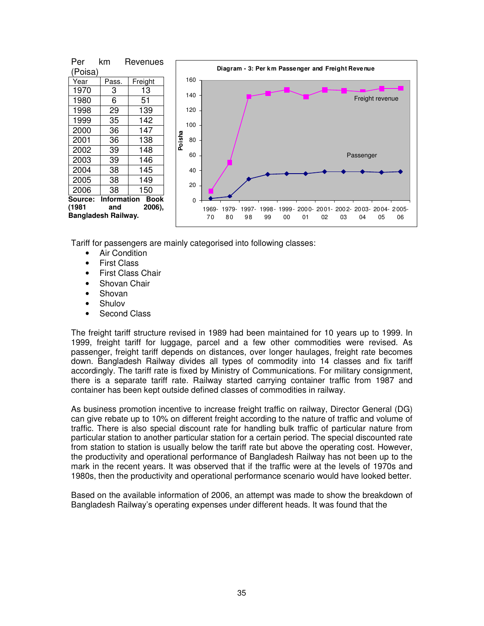

Tariff for passengers are mainly categorised into following classes:

- Air Condition
- First Class
- First Class Chair
- Shovan Chair
- Shovan
- Shulov
- Second Class

The freight tariff structure revised in 1989 had been maintained for 10 years up to 1999. In 1999, freight tariff for luggage, parcel and a few other commodities were revised. As passenger, freight tariff depends on distances, over longer haulages, freight rate becomes down. Bangladesh Railway divides all types of commodity into 14 classes and fix tariff accordingly. The tariff rate is fixed by Ministry of Communications. For military consignment, there is a separate tariff rate. Railway started carrying container traffic from 1987 and container has been kept outside defined classes of commodities in railway.

As business promotion incentive to increase freight traffic on railway, Director General (DG) can give rebate up to 10% on different freight according to the nature of traffic and volume of traffic. There is also special discount rate for handling bulk traffic of particular nature from particular station to another particular station for a certain period. The special discounted rate from station to station is usually below the tariff rate but above the operating cost. However, the productivity and operational performance of Bangladesh Railway has not been up to the mark in the recent years. It was observed that if the traffic were at the levels of 1970s and 1980s, then the productivity and operational performance scenario would have looked better.

Based on the available information of 2006, an attempt was made to show the breakdown of Bangladesh Railway's operating expenses under different heads. It was found that the